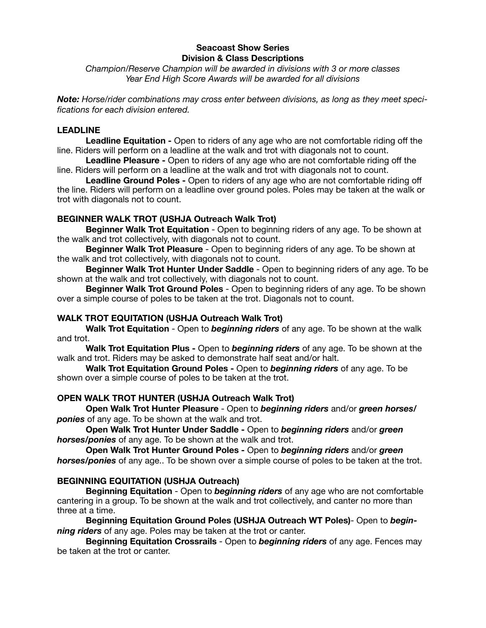## **Seacoast Show Series Division & Class Descriptions**

*Champion/Reserve Champion will be awarded in divisions with 3 or more classes Year End High Score Awards will be awarded for all divisions* 

*Note: Horse/rider combinations may cross enter between divisions, as long as they meet specifications for each division entered.* 

### **LEADLINE**

**Leadline Equitation -** Open to riders of any age who are not comfortable riding off the line. Riders will perform on a leadline at the walk and trot with diagonals not to count.

**Leadline Pleasure -** Open to riders of any age who are not comfortable riding off the line. Riders will perform on a leadline at the walk and trot with diagonals not to count.

**Leadline Ground Poles -** Open to riders of any age who are not comfortable riding off the line. Riders will perform on a leadline over ground poles. Poles may be taken at the walk or trot with diagonals not to count.

### **BEGINNER WALK TROT (USHJA Outreach Walk Trot)**

**Beginner Walk Trot Equitation** - Open to beginning riders of any age. To be shown at the walk and trot collectively, with diagonals not to count.

**Beginner Walk Trot Pleasure** - Open to beginning riders of any age. To be shown at the walk and trot collectively, with diagonals not to count.

**Beginner Walk Trot Hunter Under Saddle** - Open to beginning riders of any age. To be shown at the walk and trot collectively, with diagonals not to count.

**Beginner Walk Trot Ground Poles** - Open to beginning riders of any age. To be shown over a simple course of poles to be taken at the trot. Diagonals not to count.

## **WALK TROT EQUITATION (USHJA Outreach Walk Trot)**

**Walk Trot Equitation** - Open to *beginning riders* of any age. To be shown at the walk and trot.

**Walk Trot Equitation Plus -** Open to *beginning riders* of any age. To be shown at the walk and trot. Riders may be asked to demonstrate half seat and/or halt.

**Walk Trot Equitation Ground Poles -** Open to *beginning riders* of any age. To be shown over a simple course of poles to be taken at the trot.

#### **OPEN WALK TROT HUNTER (USHJA Outreach Walk Trot)**

**Open Walk Trot Hunter Pleasure** - Open to *beginning riders* and/or *green horses/ ponies* of any age. To be shown at the walk and trot.

**Open Walk Trot Hunter Under Saddle -** Open to *beginning riders* and/or *green horses/ponies* of any age. To be shown at the walk and trot.

**Open Walk Trot Hunter Ground Poles -** Open to *beginning riders* and/or *green horses/ponies* of any age.. To be shown over a simple course of poles to be taken at the trot.

# **BEGINNING EQUITATION (USHJA Outreach)**

**Beginning Equitation** - Open to *beginning riders* of any age who are not comfortable cantering in a group. To be shown at the walk and trot collectively, and canter no more than three at a time.

**Beginning Equitation Ground Poles (USHJA Outreach WT Poles)**- Open to *beginning riders* of any age. Poles may be taken at the trot or canter.

**Beginning Equitation Crossrails** - Open to *beginning riders* of any age. Fences may be taken at the trot or canter.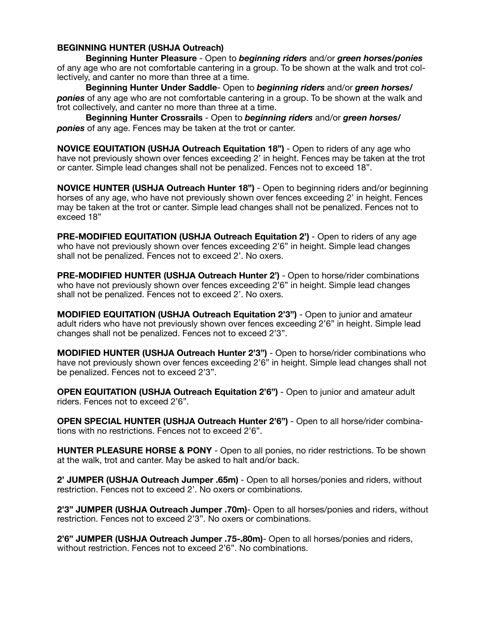## **BEGINNING HUNTER (USHJA Outreach)**

**Beginning Hunter Pleasure** - Open to *beginning riders* and/or *green horses/ponies* of any age who are not comfortable cantering in a group. To be shown at the walk and trot collectively, and canter no more than three at a time.

**Beginning Hunter Under Saddle**- Open to *beginning riders* and/or *green horses/ ponies* of any age who are not comfortable cantering in a group. To be shown at the walk and trot collectively, and canter no more than three at a time.

**Beginning Hunter Crossrails** - Open to *beginning riders* and/or *green horses/ ponies* of any age. Fences may be taken at the trot or canter.

**NOVICE EQUITATION (USHJA Outreach Equitation 18")** - Open to riders of any age who have not previously shown over fences exceeding 2' in height. Fences may be taken at the trot or canter. Simple lead changes shall not be penalized. Fences not to exceed 18".

**NOVICE HUNTER (USHJA Outreach Hunter 18")** - Open to beginning riders and/or beginning horses of any age, who have not previously shown over fences exceeding 2' in height. Fences may be taken at the trot or canter. Simple lead changes shall not be penalized. Fences not to exceed 18"

**PRE-MODIFIED EQUITATION (USHJA Outreach Equitation 2')** - Open to riders of any age who have not previously shown over fences exceeding 2'6" in height. Simple lead changes shall not be penalized. Fences not to exceed 2'. No oxers.

**PRE-MODIFIED HUNTER (USHJA Outreach Hunter 2')** - Open to horse/rider combinations who have not previously shown over fences exceeding 2'6" in height. Simple lead changes shall not be penalized. Fences not to exceed 2'. No oxers.

**MODIFIED EQUITATION (USHJA Outreach Equitation 2'3")** - Open to junior and amateur adult riders who have not previously shown over fences exceeding 2'6" in height. Simple lead changes shall not be penalized. Fences not to exceed 2'3".

**MODIFIED HUNTER (USHJA Outreach Hunter 2'3")** - Open to horse/rider combinations who have not previously shown over fences exceeding 2'6" in height. Simple lead changes shall not be penalized. Fences not to exceed 2'3".

**OPEN EQUITATION (USHJA Outreach Equitation 2'6")** - Open to junior and amateur adult riders. Fences not to exceed 2'6".

**OPEN SPECIAL HUNTER (USHJA Outreach Hunter 2'6")** - Open to all horse/rider combinations with no restrictions. Fences not to exceed 2'6".

**HUNTER PLEASURE HORSE & PONY** - Open to all ponies, no rider restrictions. To be shown at the walk, trot and canter. May be asked to halt and/or back.

**2' JUMPER (USHJA Outreach Jumper .65m)** - Open to all horses/ponies and riders, without restriction. Fences not to exceed 2'. No oxers or combinations.

**2'3" JUMPER (USHJA Outreach Jumper .70m)**- Open to all horses/ponies and riders, without restriction. Fences not to exceed 2'3". No oxers or combinations.

**2'6" JUMPER (USHJA Outreach Jumper .75-.80m)**- Open to all horses/ponies and riders, without restriction. Fences not to exceed 2'6". No combinations.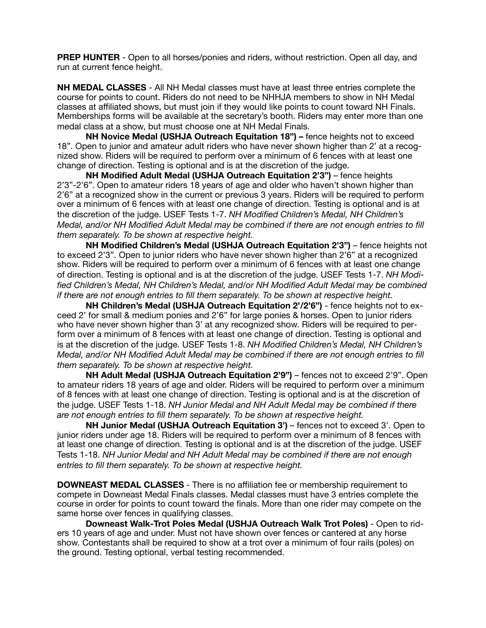**PREP HUNTER** - Open to all horses/ponies and riders, without restriction. Open all day, and run at current fence height.

**NH MEDAL CLASSES** - All NH Medal classes must have at least three entries complete the course for points to count. Riders do not need to be NHHJA members to show in NH Medal classes at affiliated shows, but must join if they would like points to count toward NH Finals. Memberships forms will be available at the secretary's booth. Riders may enter more than one medal class at a show, but must choose one at NH Medal Finals.

**NH Novice Medal (USHJA Outreach Equitation 18") – fence heights not to exceed** 18". Open to junior and amateur adult riders who have never shown higher than 2' at a recognized show. Riders will be required to perform over a minimum of 6 fences with at least one change of direction. Testing is optional and is at the discretion of the judge.

**NH Modified Adult Medal (USHJA Outreach Equitation 2'3")** – fence heights 2'3"-2'6". Open to amateur riders 18 years of age and older who haven't shown higher than 2'6" at a recognized show in the current or previous 3 years. Riders will be required to perform over a minimum of 6 fences with at least one change of direction. Testing is optional and is at the discretion of the judge. USEF Tests 1-7. *NH Modified Children's Medal, NH Children's Medal, and/or NH Modified Adult Medal may be combined if there are not enough entries to fill them separately. To be shown at respective height.*

**NH Modified Children's Medal (USHJA Outreach Equitation 2'3")** – fence heights not to exceed 2'3". Open to junior riders who have never shown higher than 2'6" at a recognized show. Riders will be required to perform over a minimum of 6 fences with at least one change of direction. Testing is optional and is at the discretion of the judge. USEF Tests 1-7. *NH Modi*fied Children's Medal, NH Children's Medal, and/or NH Modified Adult Medal may be combined *if there are not enough entries to fill them separately. To be shown at respective height.*

**NH Children's Medal (USHJA Outreach Equitation 2'/2'6")** - fence heights not to exceed 2' for small & medium ponies and 2'6" for large ponies & horses. Open to junior riders who have never shown higher than 3' at any recognized show. Riders will be required to perform over a minimum of 8 fences with at least one change of direction. Testing is optional and is at the discretion of the judge. USEF Tests 1-8. *NH Modified Children's Medal, NH Children's Medal, and/or NH Modified Adult Medal may be combined if there are not enough entries to fill them separately. To be shown at respective height.*

**NH Adult Medal (USHJA Outreach Equitation 2'9")** – fences not to exceed 2'9". Open to amateur riders 18 years of age and older. Riders will be required to perform over a minimum of 8 fences with at least one change of direction. Testing is optional and is at the discretion of the judge. USEF Tests 1-18. *NH Junior Medal and NH Adult Medal may be combined if there are not enough entries to fill them separately. To be shown at respective height.*

**NH Junior Medal (USHJA Outreach Equitation 3')** – fences not to exceed 3'. Open to junior riders under age 18. Riders will be required to perform over a minimum of 8 fences with at least one change of direction. Testing is optional and is at the discretion of the judge. USEF Tests 1-18. *NH Junior Medal and NH Adult Medal may be combined if there are not enough entries to fill them separately. To be shown at respective height.*

**DOWNEAST MEDAL CLASSES** - There is no affiliation fee or membership requirement to compete in Downeast Medal Finals classes. Medal classes must have 3 entries complete the course in order for points to count toward the finals. More than one rider may compete on the same horse over fences in qualifying classes.

**Downeast Walk-Trot Poles Medal (USHJA Outreach Walk Trot Poles)** - Open to riders 10 years of age and under. Must not have shown over fences or cantered at any horse show. Contestants shall be required to show at a trot over a minimum of four rails (poles) on the ground. Testing optional, verbal testing recommended.